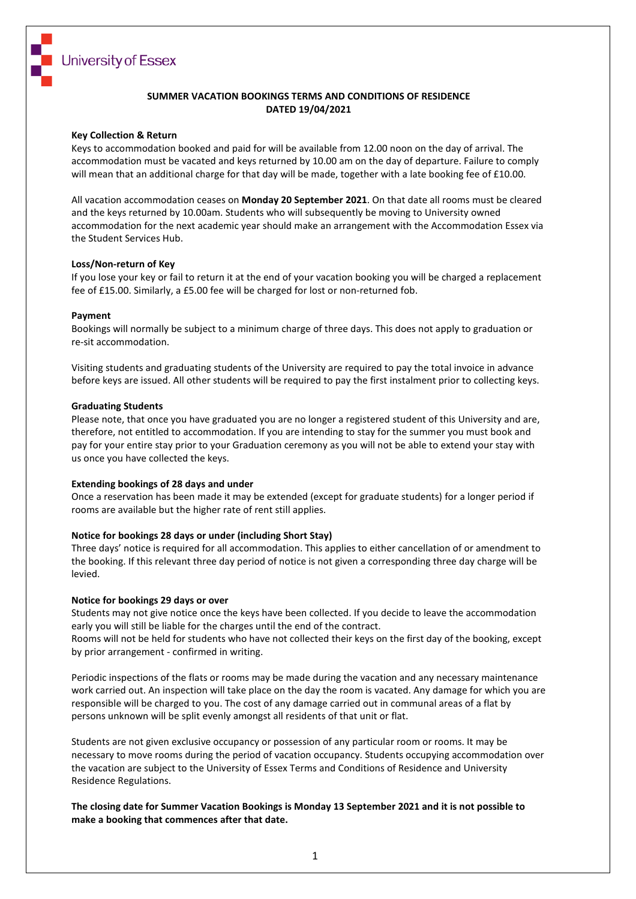

### **SUMMER VACATION BOOKINGS TERMS AND CONDITIONS OF RESIDENCE DATED 19/04/2021**

### **Key Collection & Return**

Keys to accommodation booked and paid for will be available from 12.00 noon on the day of arrival. The accommodation must be vacated and keys returned by 10.00 am on the day of departure. Failure to comply will mean that an additional charge for that day will be made, together with a late booking fee of £10.00.

All vacation accommodation ceases on **Monday 20 September 2021**. On that date all rooms must be cleared and the keys returned by 10.00am. Students who will subsequently be moving to University owned accommodation for the next academic year should make an arrangement with the Accommodation Essex via the Student Services Hub.

#### **Loss/Non-return of Key**

If you lose your key or fail to return it at the end of your vacation booking you will be charged a replacement fee of £15.00. Similarly, a £5.00 fee will be charged for lost or non-returned fob.

#### **Payment**

Bookings will normally be subject to a minimum charge of three days. This does not apply to graduation or re-sit accommodation.

Visiting students and graduating students of the University are required to pay the total invoice in advance before keys are issued. All other students will be required to pay the first instalment prior to collecting keys.

#### **Graduating Students**

Please note, that once you have graduated you are no longer a registered student of this University and are, therefore, not entitled to accommodation. If you are intending to stay for the summer you must book and pay for your entire stay prior to your Graduation ceremony as you will not be able to extend your stay with us once you have collected the keys.

#### **Extending bookings of 28 days and under**

Once a reservation has been made it may be extended (except for graduate students) for a longer period if rooms are available but the higher rate of rent still applies.

#### **Notice for bookings 28 days or under (including Short Stay)**

Three days' notice is required for all accommodation. This applies to either cancellation of or amendment to the booking. If this relevant three day period of notice is not given a corresponding three day charge will be levied.

#### **Notice for bookings 29 days or over**

Students may not give notice once the keys have been collected. If you decide to leave the accommodation early you will still be liable for the charges until the end of the contract.

Rooms will not be held for students who have not collected their keys on the first day of the booking, except by prior arrangement - confirmed in writing.

Periodic inspections of the flats or rooms may be made during the vacation and any necessary maintenance work carried out. An inspection will take place on the day the room is vacated. Any damage for which you are responsible will be charged to you. The cost of any damage carried out in communal areas of a flat by persons unknown will be split evenly amongst all residents of that unit or flat.

Students are not given exclusive occupancy or possession of any particular room or rooms. It may be necessary to move rooms during the period of vacation occupancy. Students occupying accommodation over the vacation are subject to the University of Essex Terms and Conditions of Residence and University Residence Regulations.

**The closing date for Summer Vacation Bookings is Monday 13 September 2021 and it is not possible to make a booking that commences after that date.**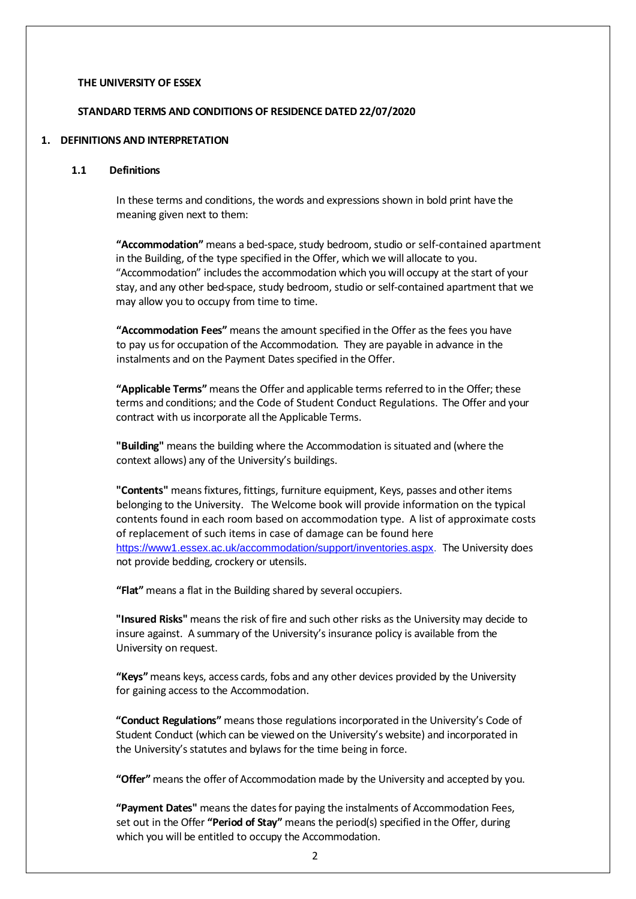### **THE UNIVERSITY OF ESSEX**

### **STANDARD TERMS AND CONDITIONS OF RESIDENCE DATED 22/07/2020**

#### **1. DEFINITIONS AND INTERPRETATION**

#### **1.1 Definitions**

In these terms and conditions, the words and expressions shown in bold print have the meaning given next to them:

"Accommodation" means a bed-space, study bedroom, studio or self-contained apartment in the Building, of the type specified in the Offer, which we will allocate to you. "Accommodation" includesthe accommodation which you will occupy at the start of your stay, and any other bed-space, study bedroom, studio or self-contained apartment that we may allow you to occupy from time to time.

**"Accommodation Fees"** means the amount specified in the Offer as the fees you have to pay us for occupation of the Accommodation. They are payable in advance in the instalments and on the Payment Dates specified in the Offer.

**"Applicable Terms"** means the Offer and applicable terms referred to in the Offer; these terms and conditions; and the Code of Student Conduct Regulations. The Offer and your contract with us incorporate all the Applicable Terms.

**"Building"** means the building where the Accommodation issituated and (where the context allows) any of the University's buildings.

**"Contents"** meansfixtures, fittings, furniture equipment, Keys, passes and other items belonging to the University. The Welcome book will provide information on the typical contents found in each room based on accommodation type. A list of approximate costs of replacement of such items in case of damage can be found here [https://www1.essex.ac.uk/accommodation/support/inventories.aspx.](https://www1.essex.ac.uk/accommodation/support/inventories.aspx) The University does not provide bedding, crockery or utensils.

**"Flat"** means a flat in the Building shared by several occupiers.

**"Insured Risks"** means the risk of fire and such other risks as the University may decide to insure against. A summary of the University's insurance policy is available from the University on request.

**"Keys"**means keys, access cards, fobs and any other devices provided by the University for gaining access to the Accommodation.

**"Conduct Regulations"** means those regulations incorporated in the University's Code of Student Conduct (which can be viewed on the University's website) and incorporated in the University's statutes and bylaws for the time being in force.

**"Offer"** means the offer of Accommodation made by the University and accepted by you.

**"Payment Dates"** means the datesfor paying the instalments of Accommodation Fees, set out in the Offer **"Period of Stay"** means the period(s) specified in the Offer, during which you will be entitled to occupy the Accommodation.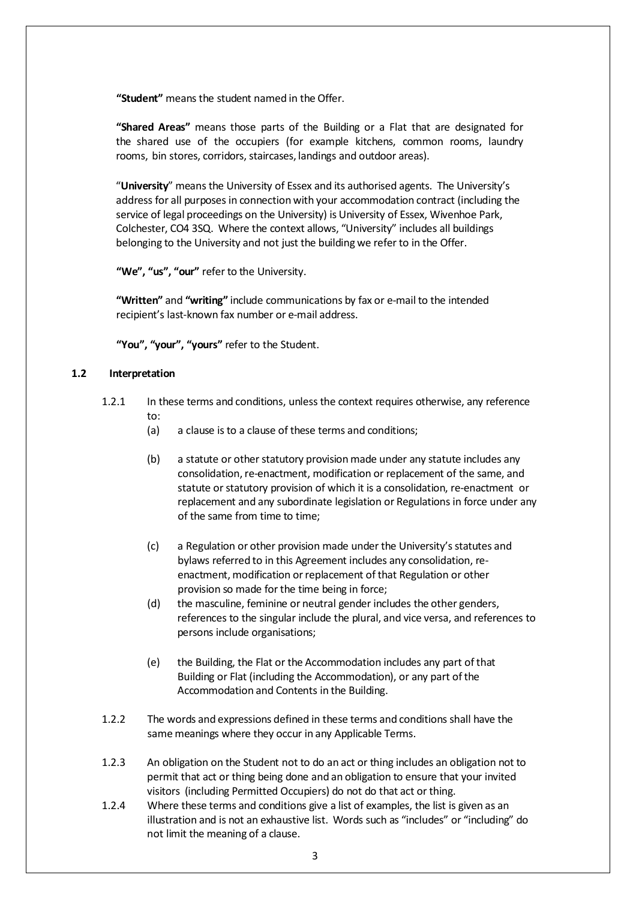**"Student"** means the student named in the Offer.

**"Shared Areas"** means those parts of the Building or a Flat that are designated for the shared use of the occupiers (for example kitchens, common rooms, laundry rooms, bin stores, corridors, staircases, landings and outdoor areas).

"**University**" means the University of Essex and its authorised agents. The University's address for all purposes in connection with your accommodation contract (including the service of legal proceedings on the University) is University of Essex, Wivenhoe Park, Colchester, CO4 3SQ. Where the context allows, "University" includes all buildings belonging to the University and not just the building we refer to in the Offer.

**"We", "us", "our"** refer to the University.

**"Written"** and **"writing"** include communications by fax or e-mail to the intended recipient's last-known fax number or e-mail address.

**"You", "your", "yours"** refer to the Student.

## **1.2 Interpretation**

- 1.2.1 In these terms and conditions, unlessthe context requires otherwise, any reference to:
	- (a) a clause isto a clause of these terms and conditions;
	- (b) a statute or other statutory provision made under any statute includes any consolidation, re-enactment, modification or replacement of the same, and statute or statutory provision of which it is a consolidation, re-enactment or replacement and any subordinate legislation or Regulations in force under any of the same from time to time;
	- (c) a Regulation or other provision made under the University's statutes and bylaws referred to in this Agreement includes any consolidation, reenactment, modification or replacement of that Regulation or other provision so made for the time being in force;
	- (d) the masculine, feminine or neutral gender includes the other genders, references to the singular include the plural, and vice versa, and references to persons include organisations;
	- (e) the Building, the Flat or the Accommodation includes any part of that Building or Flat (including the Accommodation), or any part of the Accommodation and Contents in the Building.
- 1.2.2 The words and expressions defined in these terms and conditions shall have the same meanings where they occur in any Applicable Terms.
- 1.2.3 An obligation on the Student not to do an act or thing includes an obligation not to permit that act or thing being done and an obligation to ensure that your invited visitors (including Permitted Occupiers) do not do that act or thing.
- 1.2.4 Where these terms and conditions give a list of examples, the list is given as an illustration and is not an exhaustive list. Words such as "includes" or "including" do not limit the meaning of a clause.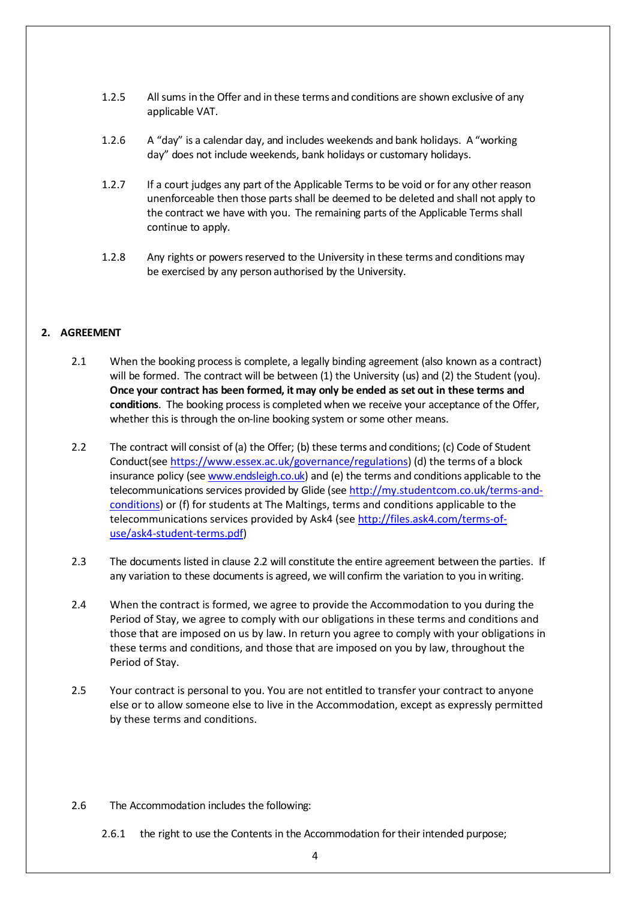- 1.2.5 Allsums in the Offer and in these terms and conditions are shown exclusive of any applicable VAT.
- 1.2.6 A "day" is a calendar day, and includes weekends and bank holidays. A "working day" does not include weekends, bank holidays or customary holidays.
- 1.2.7 If a court judges any part of the Applicable Terms to be void or for any other reason unenforceable then those parts shall be deemed to be deleted and shall not apply to the contract we have with you. The remaining parts of the Applicable Terms shall continue to apply.
- 1.2.8 Any rights or powers reserved to the University in these terms and conditions may be exercised by any person authorised by the University.

# **2. AGREEMENT**

- 2.1 When the booking processis complete, a legally binding agreement (also known as a contract) will be formed. The contract will be between (1) the University (us) and (2) the Student (you). **Once your contract has been formed, it may only be ended as set out in these terms and conditions**. The booking process is completed when we receive your acceptance of the Offer, whether this is through the on-line booking system or some other means.
- <span id="page-3-0"></span>2.2 The contract will consist of (a) the Offer; (b) these terms and conditions; (c) Code of Student Conduct(see [https://www.essex.ac.uk/governance/regulations\)](https://www.essex.ac.uk/governance/regulations) (d) the terms of a block insurance policy (see [www.endsleigh.co.uk\)](http://www.endsleigh.co.uk/) and (e) the terms and conditions applicable to the telecommunications services provided by Glide (see [http://my.studentcom.co.uk/terms-and](http://my.studentcom.co.uk/terms-and-conditions)[conditions\)](http://my.studentcom.co.uk/terms-and-conditions) or (f) for students at The Maltings, terms and conditions applicable to the telecommunications services provided by Ask4 (see [http://files.ask4.com/terms-of](http://files.ask4.com/terms-of-use/ask4-student-terms.pdf)[use/ask4-student-terms.pdf\)](http://files.ask4.com/terms-of-use/ask4-student-terms.pdf)
- 2.3 The documents listed in clause [2.2](#page-3-0) will constitute the entire agreement between the parties. If any variation to these documents is agreed, we will confirm the variation to you in writing.
- 2.4 When the contract is formed, we agree to provide the Accommodation to you during the Period of Stay, we agree to comply with our obligations in these terms and conditions and those that are imposed on us by law. In return you agree to comply with your obligations in these terms and conditions, and those that are imposed on you by law, throughout the Period of Stay.
- <span id="page-3-1"></span>2.5 Your contract is personal to you. You are not entitled to transfer your contract to anyone else or to allow someone else to live in the Accommodation, except as expressly permitted by these terms and conditions.
- 2.6 The Accommodation includes the following:
	- 2.6.1 the right to use the Contents in the Accommodation fortheir intended purpose;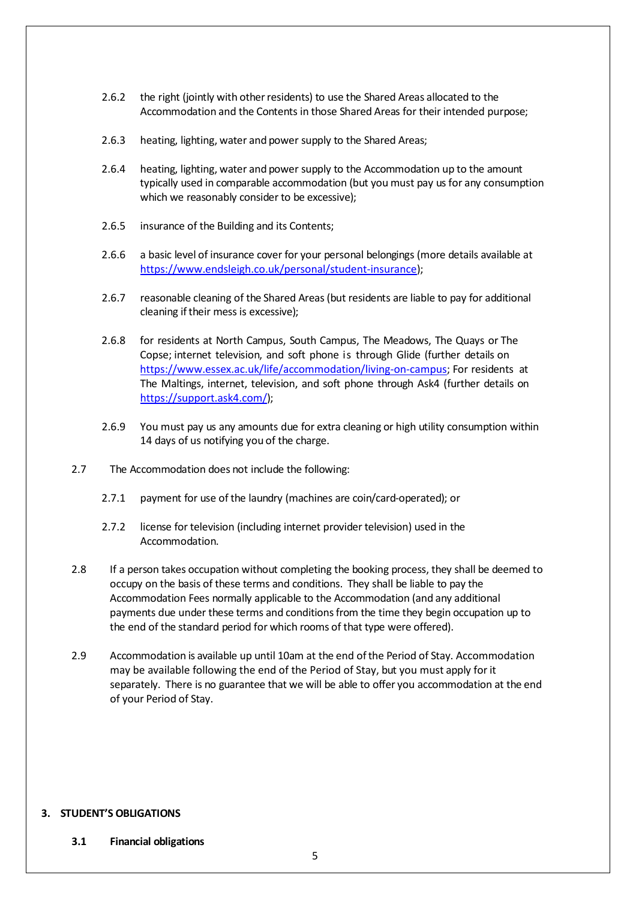- 2.6.2 the right (jointly with other residents) to use the Shared Areas allocated to the Accommodation and the Contents in those Shared Areas for their intended purpose;
- <span id="page-4-0"></span>2.6.3 heating, lighting, water and power supply to the Shared Areas;
- 2.6.4 heating, lighting, water and power supply to the Accommodation up to the amount typically used in comparable accommodation (but you must pay us for any consumption which we reasonably consider to be excessive);
- 2.6.5 insurance of the Building and its Contents;
- 2.6.6 a basic level of insurance cover for your personal belongings (more details available at [https://www.endsleigh.co.uk/personal/student-insurance\)](https://www.endsleigh.co.uk/personal/student-insurance);
- 2.6.7 reasonable cleaning of the Shared Areas(but residents are liable to pay for additional cleaning if their mess is excessive);
- 2.6.8 for residents at North Campus, South Campus, The Meadows, The Quays or The Copse; internet television, and soft phone is through Glide (further details on [https://www.essex.ac.uk/life/accommodation/living-on-campus;](https://www.essex.ac.uk/life/accommodation/living-on-campus) For residents at The Maltings, internet, television, and soft phone through Ask4 (further details on [https://support.ask4.com/\)](https://support.ask4.com/);
- 2.6.9 You must pay us any amounts due for extra cleaning or high utility consumption within 14 days of us notifying you of the charge.
- 2.7 The Accommodation does not include the following:
	- 2.7.1 payment for use of the laundry (machines are coin/card-operated); or
	- 2.7.2 license for television (including internet provider television) used in the Accommodation.
- 2.8 If a person takes occupation without completing the booking process, they shall be deemed to occupy on the basis of these terms and conditions. They shall be liable to pay the Accommodation Fees normally applicable to the Accommodation (and any additional payments due under these terms and conditionsfrom the time they begin occupation up to the end of the standard period for which rooms of that type were offered).
- 2.9 Accommodation is available up until 10am at the end ofthe Period of Stay. Accommodation may be available following the end of the Period of Stay, but you must apply for it separately. There is no guarantee that we will be able to offer you accommodation at the end of your Period of Stay.

### **3. STUDENT'S OBLIGATIONS**

#### **3.1 Financial obligations**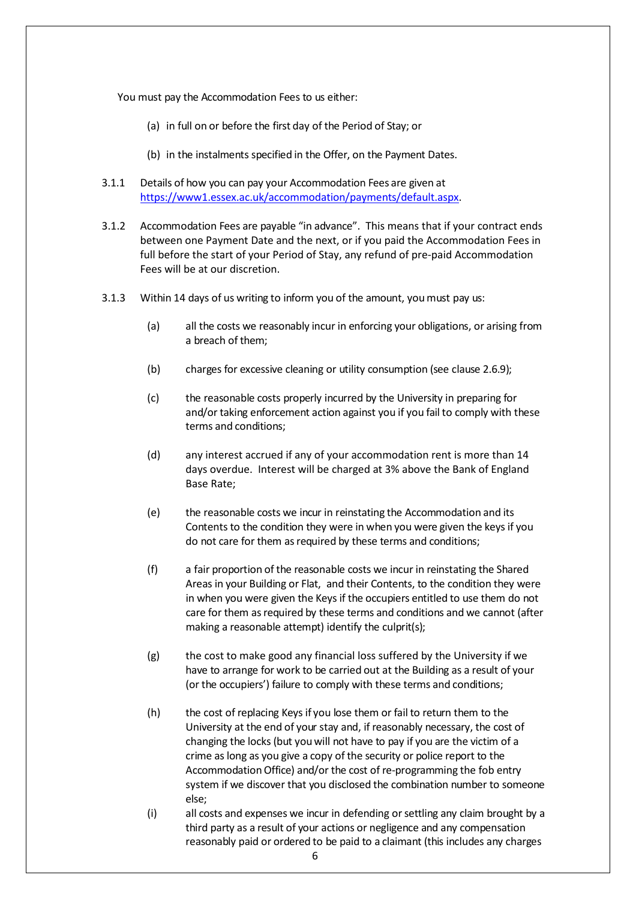You must pay the Accommodation Fees to us either:

- (a) in full on or before the first day of the Period of Stay; or
- (b) in the instalments specified in the Offer, on the Payment Dates.
- 3.1.1 Details of how you can pay your Accommodation Fees are given at [https://www1.essex.ac.uk/accommodation/payments/default.aspx.](http://www.essex.ac.uk/accommodation/payments/default.aspx)
- 3.1.2 Accommodation Fees are payable "in advance". This means that if your contract ends between one Payment Date and the next, or if you paid the Accommodation Fees in full before the start of your Period of Stay, any refund of pre-paid Accommodation Fees will be at our discretion.
- 3.1.3 Within 14 days of us writing to inform you of the amount, you must pay us:
	- (a) all the costs we reasonably incur in enforcing your obligations, or arising from a breach of them;
	- (b) charges for excessive cleaning or utility consumption (see clause [2.6.9](#page-3-1));
	- (c) the reasonable costs properly incurred by the University in preparing for and/or taking enforcement action against you if you fail to comply with these terms and conditions;
	- (d) any interest accrued if any of your accommodation rent is more than 14 days overdue. Interest will be charged at 3% above the Bank of England Base Rate;
	- (e) the reasonable costs we incur in reinstating the Accommodation and its Contents to the condition they were in when you were given the keysif you do not care for them as required by these terms and conditions;
	- (f) a fair proportion of the reasonable costs we incur in reinstating the Shared Areas in your Building or Flat, and their Contents, to the condition they were in when you were given the Keys if the occupiers entitled to use them do not care for them as required by these terms and conditions and we cannot (after making a reasonable attempt) identify the culprit(s);
	- (g) the cost to make good any financial loss suffered by the University if we have to arrange for work to be carried out at the Building as a result of your (or the occupiers') failure to comply with these terms and conditions;
	- (h) the cost of replacing Keysif you lose them or fail to return them to the University at the end of your stay and, if reasonably necessary, the cost of changing the locks (but youwill not have to pay if you are the victim of a crime as long as you give a copy of the security or police report to the Accommodation Office) and/or the cost of re-programming the fob entry system if we discover that you disclosed the combination number to someone else;
	- (i) all costs and expenses we incur in defending orsettling any claim brought by a third party as a result of your actions or negligence and any compensation reasonably paid or ordered to be paid to a claimant (this includes any charges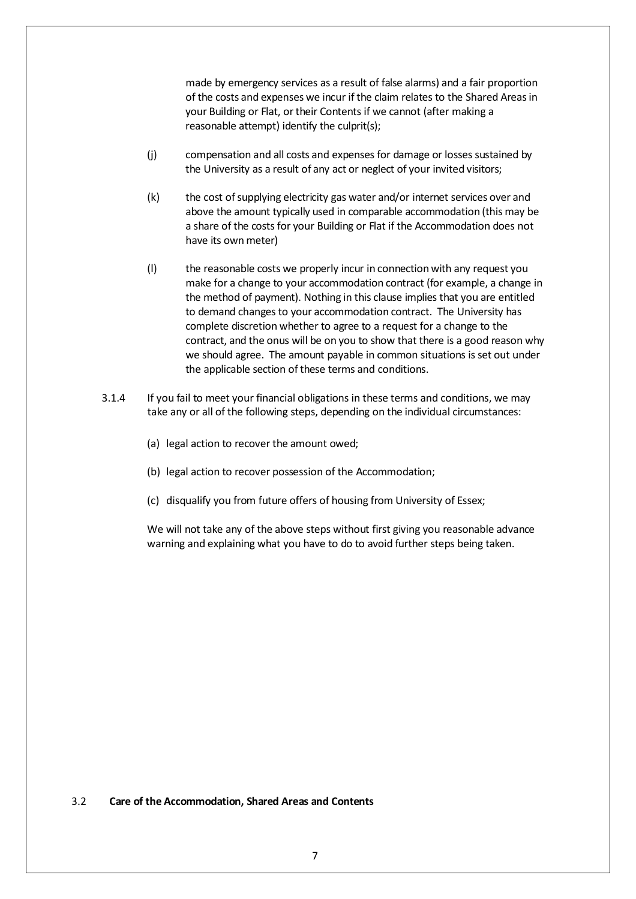made by emergency services as a result of false alarms) and a fair proportion of the costs and expenses we incur if the claim relates to the Shared Areasin your Building or Flat, or their Contents if we cannot (after making a reasonable attempt) identify the culprit(s);

- (j) compensation and all costs and expenses for damage or losses sustained by the University as a result of any act or neglect of your invited visitors;
- (k) the cost of supplying electricity gas water and/or internet services over and above the amount typically used in comparable accommodation (this may be a share of the costs for your Building or Flat if the Accommodation does not have its own meter)
- (l) the reasonable costs we properly incur in connection with any request you make for a change to your accommodation contract (for example, a change in the method of payment). Nothing in this clause implies that you are entitled to demand changes to your accommodation contract. The University has complete discretion whether to agree to a request for a change to the contract, and the onus will be on you to show that there is a good reason why we should agree. The amount payable in common situations is set out under the applicable section of these terms and conditions.
- 3.1.4 If you fail to meet your financial obligations in these terms and conditions, we may take any or all of the following steps, depending on the individual circumstances:
	- (a) legal action to recover the amount owed;
	- (b) legal action to recover possession of the Accommodation;
	- (c) disqualify you from future offers of housing from University of Essex;

We will not take any of the above steps without first giving you reasonable advance warning and explaining what you have to do to avoid further steps being taken.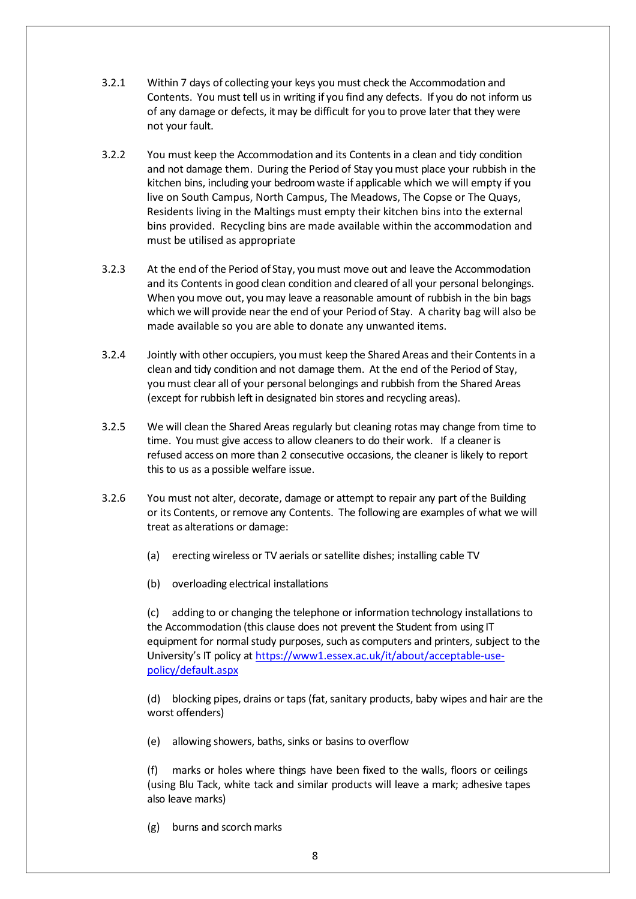- 3.2.1 Within 7 days of collecting your keys you must check the Accommodation and Contents. You must tell usin writing if you find any defects. If you do not inform us of any damage or defects, it may be difficult for you to prove later that they were not your fault.
- <span id="page-7-0"></span>3.2.2 You must keep the Accommodation and its Contents in a clean and tidy condition and not damage them. During the Period of Stay youmust place your rubbish in the kitchen bins, including your bedroom waste if applicable which we will empty if you live on South Campus, North Campus, The Meadows, The Copse or The Quays, Residents living in the Maltings must empty their kitchen bins into the external bins provided. Recycling bins are made available within the accommodation and must be utilised as appropriate
- 3.2.3 At the end of the Period of Stay, you must move out and leave the Accommodation and its Contents in good clean condition and cleared of all your personal belongings. When you move out, you may leave a reasonable amount of rubbish in the bin bags which we will provide nearthe end of your Period of Stay. A charity bag will also be made available so you are able to donate any unwanted items.
- 3.2.4 Jointly with other occupiers, you must keep the Shared Areas and their Contentsin a clean and tidy condition and not damage them. At the end of the Period of Stay, you must clear all of your personal belongings and rubbish from the Shared Areas (except for rubbish left in designated bin stores and recycling areas).
- 3.2.5 We will clean the Shared Areas regularly but cleaning rotas may change from time to time. You must give accessto allow cleanersto do their work. If a cleaner is refused access on more than 2 consecutive occasions, the cleaner islikely to report this to us as a possible welfare issue.
- 3.2.6 You must not alter, decorate, damage or attempt to repair any part of the Building or its Contents, or remove any Contents. The following are examples of what we will treat as alterations or damage:
	- (a) erecting wireless or TV aerials or satellite dishes; installing cable TV
	- (b) overloading electrical installations

(c) adding to or changing the telephone or information technology installations to the Accommodation (this clause does not prevent the Student from using IT equipment for normal study purposes, such as computers and printers, subject to the University's IT policy at [https://www1.essex.ac.uk/it/about/acceptable-use](https://www1.essex.ac.uk/it/about/acceptable-use-policy/default.aspx)[policy/default.aspx](https://www1.essex.ac.uk/it/about/acceptable-use-policy/default.aspx)

(d) blocking pipes, drains or taps (fat,sanitary products, baby wipes and hair are the worst offenders)

(e) allowing showers, baths, sinks or basins to overflow

(f) marks or holes where things have been fixed to the walls, floors or ceilings (using Blu Tack, white tack and similar products will leave a mark; adhesive tapes also leave marks)

(g) burns and scorch marks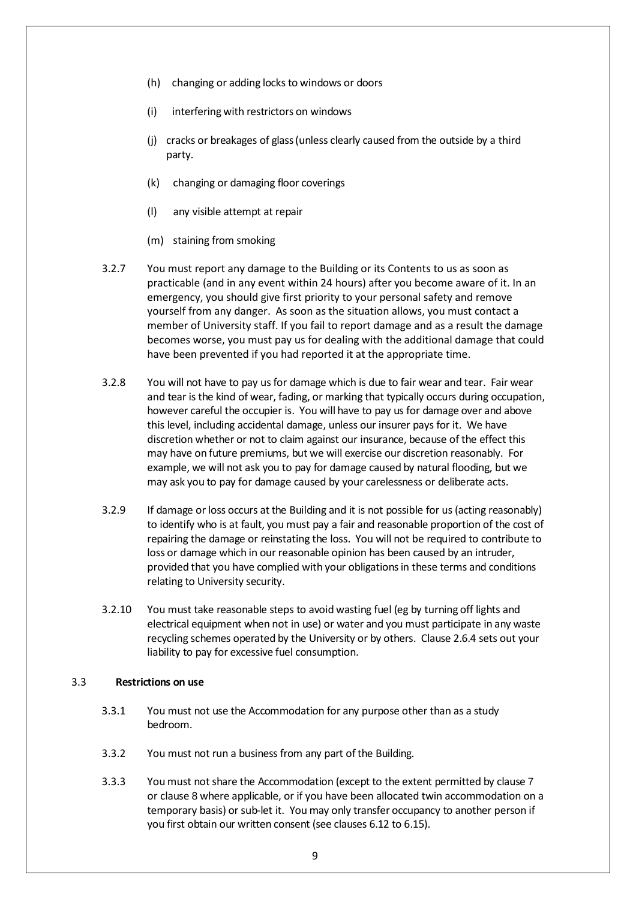- (h) changing or adding locks to windows or doors
- (i) interfering with restrictors on windows
- (j) cracks or breakages of glass(unless clearly caused from the outside by a third party.
- (k) changing or damaging floor coverings
- (l) any visible attempt at repair
- (m) staining from smoking
- 3.2.7 You must report any damage to the Building or its Contents to us as soon as practicable (and in any event within 24 hours) after you become aware of it. In an emergency, you should give first priority to your personal safety and remove yourself from any danger. As soon as the situation allows, you must contact a member of University staff. If you fail to report damage and as a result the damage becomes worse, you must pay us for dealing with the additional damage that could have been prevented if you had reported it at the appropriate time.
- 3.2.8 You will not have to pay usfor damage which is due to fair wear and tear. Fair wear and tear is the kind of wear, fading, or marking that typically occurs during occupation, however careful the occupier is. You will have to pay us for damage over and above this level, including accidental damage, unless our insurer pays for it. We have discretion whether or not to claim against our insurance, because of the effect this may have on future premiums, but we will exercise our discretion reasonably. For example, we will not ask you to pay for damage caused by natural flooding, but we may ask you to pay for damage caused by your carelessness or deliberate acts.
- 3.2.9 If damage orloss occurs at the Building and it is not possible for us (acting reasonably) to identify who is at fault, you must pay a fair and reasonable proportion of the cost of repairing the damage or reinstating the loss. You will not be required to contribute to loss or damage which in our reasonable opinion has been caused by an intruder, provided that you have complied with your obligations in these terms and conditions relating to University security.
- 3.2.10 You must take reasonable steps to avoid wasting fuel (eg by turning off lights and electrical equipment when not in use) or water and you must participate in any waste recycling schemes operated by the University or by others. Clause [2.6.4](#page-4-0) sets out your liability to pay for excessive fuel consumption.

#### 3.3 **Restrictions on use**

- 3.3.1 You must not use the Accommodation for any purpose other than as a study bedroom.
- 3.3.2 You must not run a business from any part of the Building.
- 3.3.3 You must notshare the Accommodation (except to the extent permitted by clause [7](#page-22-0) or clause [8](#page-23-0) where applicable, or if you have been allocated twin accommodation on a temporary basis) or sub-let it. You may only transfer occupancy to another person if you first obtain our written consent (see clauses [6.12](#page-22-1) to [6.15\)](#page-22-2).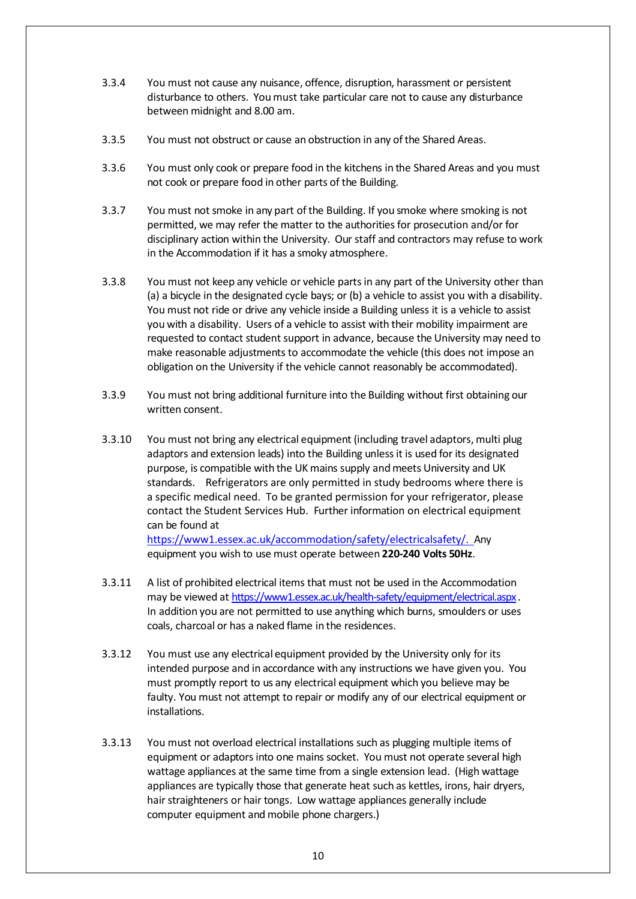- 3.3.4 You must not cause any nuisance, offence, disruption, harassment or persistent disturbance to others. Youmust take particular care not to cause any disturbance between midnight and 8.00 am.
- 3.3.5 You must not obstruct or cause an obstruction in any ofthe Shared Areas.
- 3.3.6 You must only cook or prepare food in the kitchens in the Shared Areas and you must not cook or prepare food in other parts of the Building.
- 3.3.7 You must not smoke in any part ofthe Building. If you smoke where smoking is not permitted, we may refer the matter to the authorities for prosecution and/or for disciplinary action within the University. Our staff and contractors may refuse to work in the Accommodation if it has a smoky atmosphere.
- 3.3.8 You must not keep any vehicle or vehicle partsin any part of the University other than (a) a bicycle in the designated cycle bays; or (b) a vehicle to assist you with a disability. You must not ride or drive any vehicle inside a Building unless it is a vehicle to assist you with a disability. Users of a vehicle to assist with their mobility impairment are requested to contact student support in advance, because the University may need to make reasonable adjustments to accommodate the vehicle (this does not impose an obligation on the University if the vehicle cannot reasonably be accommodated).
- 3.3.9 You must not bring additional furniture into the Building without first obtaining our written consent.
- 3.3.10 You must not bring any electrical equipment (including travel adaptors, multi plug adaptors and extension leads) into the Building unlessit is used for its designated purpose, is compatible with the UK mains supply and meets University and UK standards. Refrigerators are only permitted in study bedrooms where there is a specific medical need. To be granted permission for your refrigerator, please contact the Student Services Hub. Further information on electrical equipment can be found at

[https://www1.essex.ac.uk/accommodation/safety/electricalsafety/. A](https://www1.essex.ac.uk/accommodation/safety/electricalsafety/)ny equipment you wish to use must operate between **220-240 Volts 50Hz**.

- 3.3.11 A list of prohibited electrical items that must not be used in the Accommodation may be viewed at <https://www1.essex.ac.uk/health-safety/equipment/electrical.aspx>. In addition you are not permitted to use anything which burns, smoulders or uses coals, charcoal or has a naked flame in the residences.
- 3.3.12 You must use any electrical equipment provided by the University only for its intended purpose and in accordance with any instructions we have given you. You must promptly report to us any electrical equipment which you believe may be faulty. You must not attempt to repair or modify any of our electrical equipment or installations.
- 3.3.13 You must not overload electrical installations such as plugging multiple items of equipment or adaptors into one mains socket. You must not operate several high wattage appliances at the same time from a single extension lead. (High wattage appliances are typically those that generate heat such as kettles, irons, hair dryers, hair straighteners or hair tongs. Low wattage appliances generally include computer equipment and mobile phone chargers.)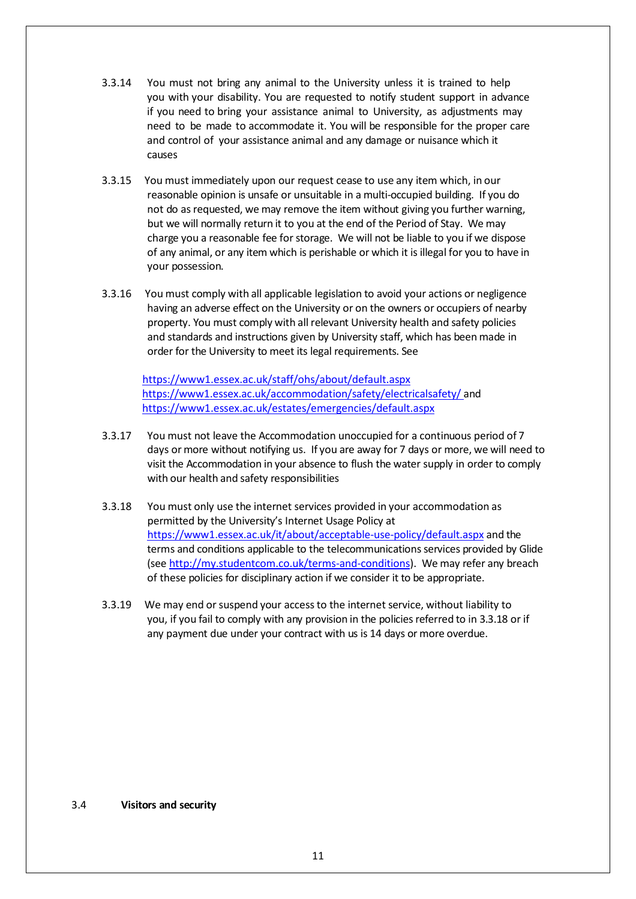- 3.3.14 You must not bring any animal to the University unless it is trained to help you with your disability. You are requested to notify student support in advance if you need to bring your assistance animal to University, as adjustments may need to be made to accommodate it. You will be responsible for the proper care and control of your assistance animal and any damage or nuisance which it causes
- 3.3.15 You must immediately upon our request cease to use any item which, in our reasonable opinion is unsafe or unsuitable in a multi-occupied building. If you do not do asrequested, we may remove the item without giving you further warning, but we will normally return it to you at the end of the Period of Stay. We may charge you a reasonable fee for storage. We will not be liable to you if we dispose of any animal, or any item which is perishable or which it is illegal for you to have in your possession.
- 3.3.16 You must comply with all applicable legislation to avoid your actions or negligence having an adverse effect on the University or on the owners or occupiers of nearby property. You must comply with all relevant University health and safety policies and standards and instructions given by University staff, which has been made in order for the University to meet its legal requirements. See

<https://www1.essex.ac.uk/staff/ohs/about/default.aspx> <https://www1.essex.ac.uk/accommodation/safety/electricalsafety/> and <https://www1.essex.ac.uk/estates/emergencies/default.aspx>

- 3.3.17 You must not leave the Accommodation unoccupied for a continuous period of 7 days or more without notifying us. If you are away for 7 days or more, we will need to visit the Accommodation in your absence to flush the water supply in order to comply with our health and safety responsibilities
- 3.3.18 You must only use the internet services provided in your accommodation as permitted by the University's Internet Usage Policy at <https://www1.essex.ac.uk/it/about/acceptable-use-policy/default.aspx> and the terms and conditions applicable to the telecommunications services provided by Glide (se[e http://my.studentcom.co.uk/terms-and-conditions\)](http://my.studentcom.co.uk/terms-and-conditions). We may refer any breach of these policies for disciplinary action if we consider it to be appropriate.
- 3.3.19 We may end orsuspend your accessto the internet service, without liability to you, if you fail to comply with any provision in the policies referred to in 3.3.18 or if any payment due under your contract with us is 14 days or more overdue.

3.4 **Visitors and security**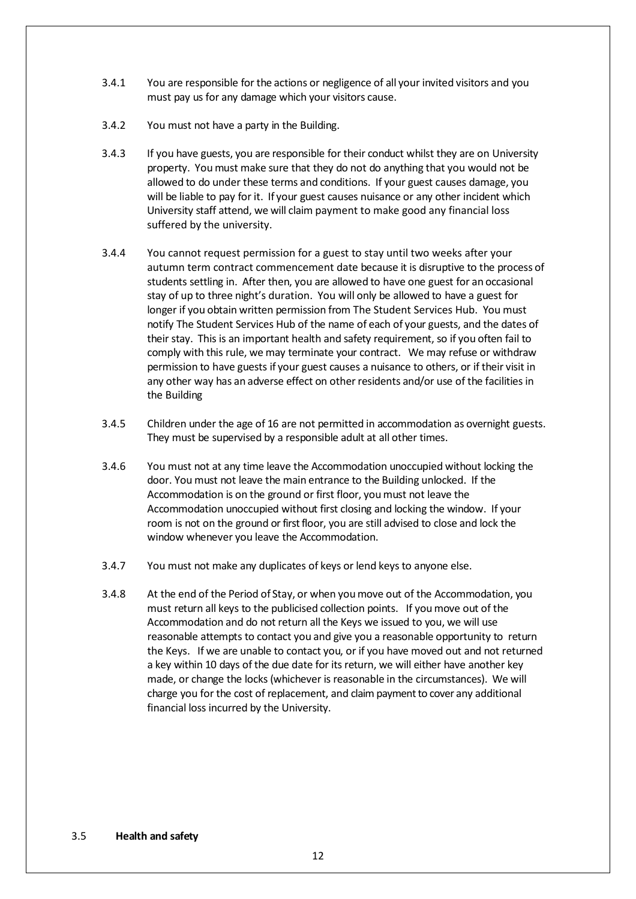- 3.4.1 You are responsible for the actions or negligence of all your invited visitors and you must pay us for any damage which your visitors cause.
- 3.4.2 You must not have a party in the Building.
- 3.4.3 If you have guests, you are responsible for their conduct whilst they are on University property. You must make sure that they do not do anything that you would not be allowed to do under these terms and conditions. If your guest causes damage, you will be liable to pay for it. If your guest causes nuisance or any other incident which University staff attend, we will claim payment to make good any financial loss suffered by the university.
- 3.4.4 You cannot request permission for a guest to stay until two weeks after your autumn term contract commencement date because it is disruptive to the process of students settling in. After then, you are allowed to have one guest for an occasional stay of up to three night's duration. You will only be allowed to have a guest for longer if you obtain written permission from The Student Services Hub. You must notify The Student Services Hub of the name of each of your guests, and the dates of their stay. This is an important health and safety requirement, so if you often fail to comply with this rule, we may terminate your contract. We may refuse or withdraw permission to have guests if your guest causes a nuisance to others, or if their visit in any other way has an adverse effect on other residents and/or use of the facilities in the Building
- 3.4.5 Children under the age of 16 are not permitted in accommodation as overnight guests. They must be supervised by a responsible adult at all other times.
- 3.4.6 You must not at any time leave the Accommodation unoccupied without locking the door. You must not leave the main entrance to the Building unlocked. If the Accommodation is on the ground or first floor, you must not leave the Accommodation unoccupied without first closing and locking the window. If your room is not on the ground or first floor, you are still advised to close and lock the window whenever you leave the Accommodation.
- 3.4.7 You must not make any duplicates of keys or lend keys to anyone else.
- <span id="page-11-0"></span>3.4.8 At the end of the Period of Stay, or when youmove out of the Accommodation, you must return all keys to the publicised collection points. If you move out of the Accommodation and do not return all the Keys we issued to you, we will use reasonable attempts to contact you and give you a reasonable opportunity to return the Keys. If we are unable to contact you, or if you have moved out and not returned a key within 10 days of the due date for its return, we will either have another key made, or change the locks (whichever is reasonable in the circumstances). We will charge you for the cost of replacement, and claim payment to cover any additional financial loss incurred by the University.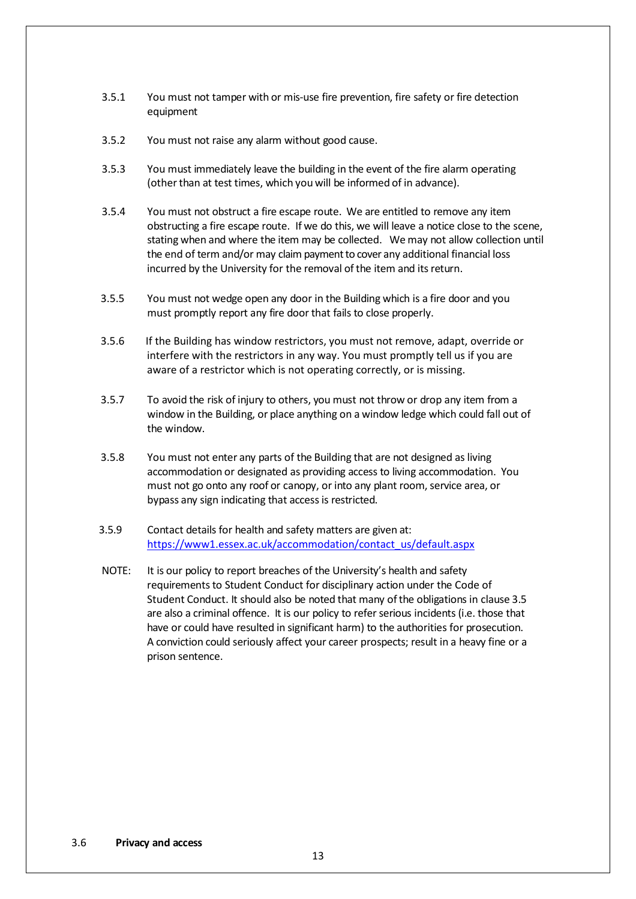- 3.5.1 You must not tamper with or mis-use fire prevention, fire safety or fire detection equipment
- 3.5.2 You must not raise any alarm without good cause.
- 3.5.3 You must immediately leave the building in the event of the fire alarm operating (other than at test times, which you will be informed of in advance).
- 3.5.4 You must not obstruct a fire escape route. We are entitled to remove any item obstructing a fire escape route. If we do this, we will leave a notice close to the scene, stating when and where the item may be collected. We may not allow collection until the end of term and/or may claim payment to cover any additional financial loss incurred by the University for the removal of the item and its return.
- 3.5.5 You must not wedge open any door in the Building which is a fire door and you must promptly report any fire door that fails to close properly.
- 3.5.6 If the Building has window restrictors, you must not remove, adapt, override or interfere with the restrictors in any way. You must promptly tell us if you are aware of a restrictor which is not operating correctly, or is missing.
- 3.5.7 To avoid the risk of injury to others, you must not throw or drop any item from a window in the Building, or place anything on a window ledge which could fall out of the window.
- 3.5.8 You must not enter any parts of the Building that are not designed as living accommodation or designated as providing access to living accommodation. You must not go onto any roof or canopy, or into any plant room, service area, or bypass any sign indicating that access is restricted.
- 3.5.9 Contact details for health and safety matters are given at: [https://www1.essex.ac.uk/accommodation/contact\\_us/default.aspx](https://www1.essex.ac.uk/accommodation/contact_us/default.aspx)
- NOTE: It is our policy to report breaches of the University's health and safety requirements to Student Conduct for disciplinary action under the Code of Student Conduct. It should also be noted that many ofthe obligations in clause [3.5](#page-11-0) are also a criminal offence. It is our policy to refer serious incidents (i.e. those that have or could have resulted in significant harm) to the authorities for prosecution. A conviction could seriously affect your career prospects; result in a heavy fine or a prison sentence.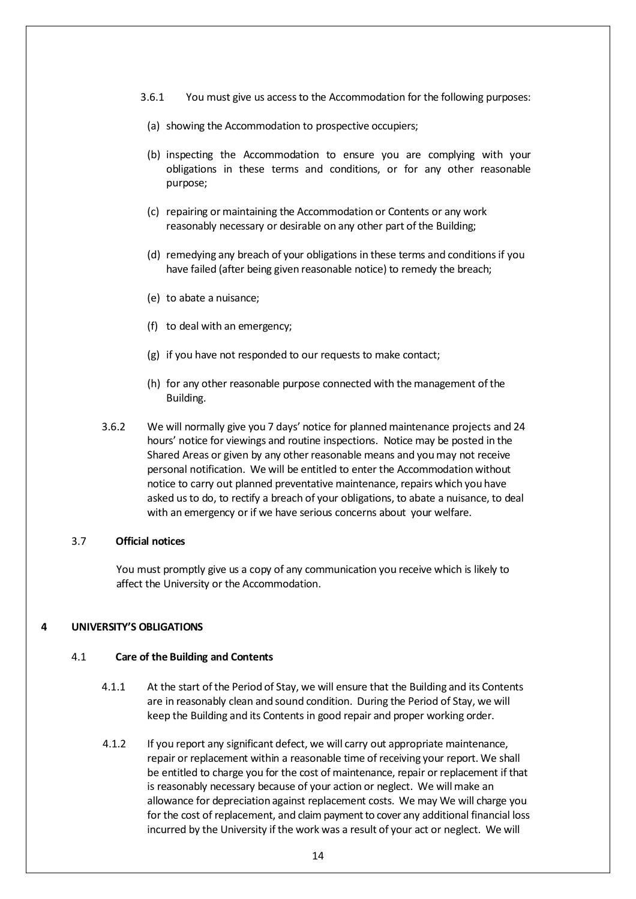- 3.6.1 You must give us accessto the Accommodation for the following purposes:
- (a) showing the Accommodation to prospective occupiers;
- (b) inspecting the Accommodation to ensure you are complying with your obligations in these terms and conditions, or for any other reasonable purpose;
- (c) repairing or maintaining the Accommodation or Contents or any work reasonably necessary or desirable on any other part of the Building;
- (d) remedying any breach of your obligations in these terms and conditionsif you have failed (after being given reasonable notice) to remedy the breach;
- (e) to abate a nuisance;
- (f) to deal with an emergency;
- (g) if you have not responded to our requests to make contact;
- (h) for any other reasonable purpose connected with the management of the Building.
- <span id="page-13-0"></span>3.6.2 We will normally give you 7 days' notice for planned maintenance projects and 24 hours' notice for viewings and routine inspections. Notice may be posted in the Shared Areas or given by any other reasonable means and you may not receive personal notification. We will be entitled to enter the Accommodation without notice to carry out planned preventative maintenance, repairs which you have asked us to do, to rectify a breach of your obligations, to abate a nuisance, to deal with an emergency or if we have serious concerns about your welfare.

### 3.7 **Official notices**

You must promptly give us a copy of any communication you receive which is likely to affect the University or the Accommodation.

## **4 UNIVERSITY'S OBLIGATIONS**

#### 4.1 **Care of the Building and Contents**

- 4.1.1 At the start of the Period of Stay, we will ensure that the Building and its Contents are in reasonably clean and sound condition. During the Period of Stay, we will keep the Building and its Contents in good repair and proper working order.
- 4.1.2 If you report any significant defect, we will carry out appropriate maintenance, repair or replacement within a reasonable time of receiving your report. We shall be entitled to charge you for the cost of maintenance, repair or replacement if that is reasonably necessary because of your action or neglect. We will make an allowance for depreciation against replacement costs. We may We will charge you for the cost of replacement, and claim payment to cover any additional financial loss incurred by the University if the work was a result of your act or neglect. We will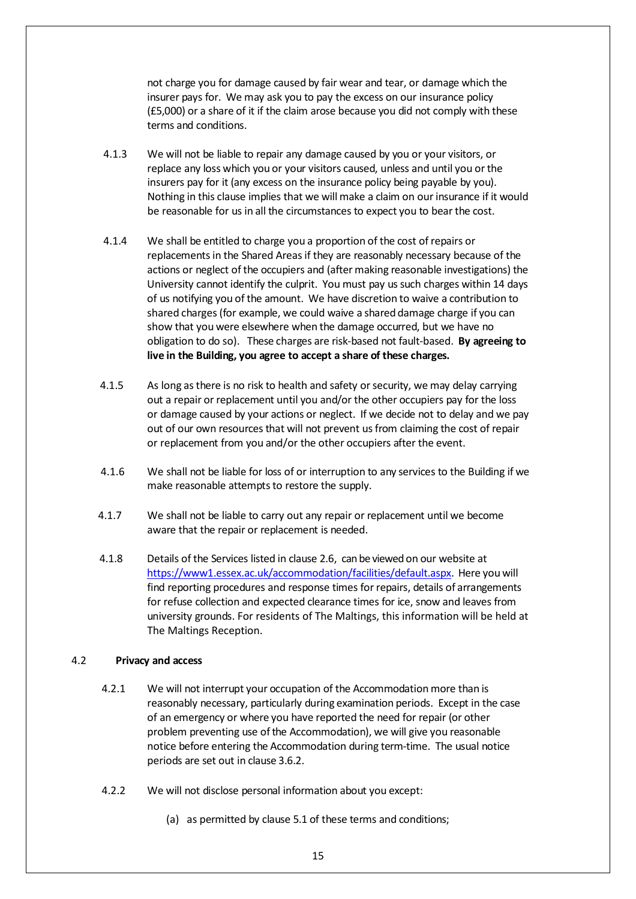not charge you for damage caused by fair wear and tear, or damage which the insurer pays for. We may ask you to pay the excess on our insurance policy (£5,000) or a share of it if the claim arose because you did not comply with these terms and conditions.

- 4.1.3 We will not be liable to repair any damage caused by you or your visitors, or replace any loss which you or your visitors caused, unless and until you or the insurers pay for it (any excess on the insurance policy being payable by you). Nothing in this clause implies that we will make a claim on our insurance if it would be reasonable for us in all the circumstances to expect you to bear the cost.
- 4.1.4 We shall be entitled to charge you a proportion of the cost of repairs or replacementsin the Shared Areasif they are reasonably necessary because of the actions or neglect of the occupiers and (after making reasonable investigations) the University cannot identify the culprit. You must pay us such charges within 14 days of us notifying you of the amount. We have discretion to waive a contribution to shared charges(for example, we could waive a shared damage charge if you can show that you were elsewhere when the damage occurred, but we have no obligation to do so). These charges are risk-based not fault-based. **By agreeing to live in the Building, you agree to accept a share of these charges.**
- 4.1.5 As long as there is no risk to health and safety or security, we may delay carrying out a repair or replacement until you and/or the other occupiers pay for the loss or damage caused by your actions or neglect. If we decide not to delay and we pay out of our own resourcesthat will not prevent usfrom claiming the cost of repair or replacement from you and/or the other occupiers after the event.
- 4.1.6 We shall not be liable for loss of or interruption to any services to the Building if we make reasonable attempts to restore the supply.
- 4.1.7 We shall not be liable to carry out any repair or replacement until we become aware that the repair or replacement is needed.
- 4.1.8 Details of the Services listed in clause [2.6,](#page-3-1) can be viewed on our website at [https://www1.essex.ac.uk/accommodation/facilities/default.aspx.](https://www1.essex.ac.uk/accommodation/facilities/default.aspx) Here you will find reporting procedures and response times forrepairs, details of arrangements for refuse collection and expected clearance times for ice, snow and leaves from university grounds. For residents of The Maltings, this information will be held at The Maltings Reception.

## 4.2 **Privacy and access**

- 4.2.1 We will not interrupt your occupation of the Accommodation more than is reasonably necessary, particularly during examination periods. Except in the case of an emergency or where you have reported the need for repair (or other problem preventing use of the Accommodation), we will give you reasonable notice before entering the Accommodation during term-time. The usual notice periods are set out in clause [3.6.2.](#page-13-0)
- 4.2.2 We will not disclose personal information about you except:
	- (a) as permitted by clause [5.1](#page-18-0) of these terms and conditions;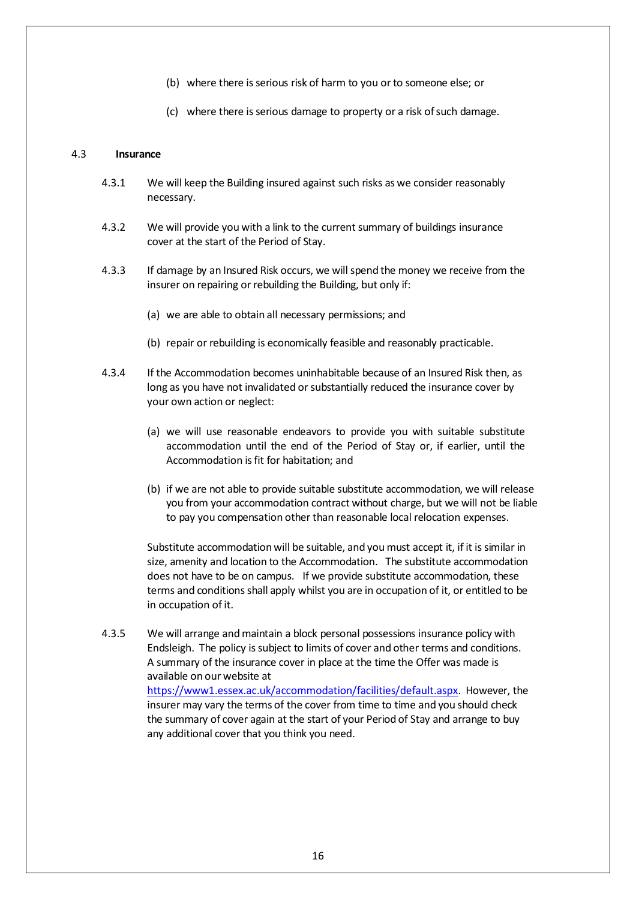- (b) where there is serious risk of harm to you or to someone else; or
- (c) where there is serious damage to property or a risk of such damage.

### 4.3 **Insurance**

- 4.3.1 We will keep the Building insured against such risks as we consider reasonably necessary.
- <span id="page-15-0"></span>4.3.2 We will provide you with a link to the current summary of buildings insurance cover at the start of the Period of Stay.
- 4.3.3 If damage by an Insured Risk occurs, we will spend the money we receive from the insurer on repairing or rebuilding the Building, but only if:
	- (a) we are able to obtain all necessary permissions; and
	- (b) repair or rebuilding is economically feasible and reasonably practicable.
- 4.3.4 If the Accommodation becomes uninhabitable because of an Insured Risk then, as long as you have not invalidated or substantially reduced the insurance cover by your own action or neglect:
	- (a) we will use reasonable endeavors to provide you with suitable substitute accommodation until the end of the Period of Stay or, if earlier, until the Accommodation is fit for habitation; and
	- (b) if we are not able to provide suitable substitute accommodation, we will release you from your accommodation contract without charge, but we will not be liable to pay you compensation other than reasonable local relocation expenses.

Substitute accommodationwill be suitable, and you must accept it, if it is similar in size, amenity and location to the Accommodation. The substitute accommodation does not have to be on campus. If we provide substitute accommodation, these terms and conditions shall apply whilst you are in occupation of it, or entitled to be in occupation of it.

<span id="page-15-1"></span>4.3.5 We will arrange andmaintain a block personal possessions insurance policy with Endsleigh. The policy is subject to limits of cover and other terms and conditions. A summary of the insurance cover in place at the time the Offer was made is available on our website at [https://www1.essex.ac.uk/accommodation/facilities/default.aspx.](http://www.essex.ac.uk/accommodation/facilities/default.aspx) However, the insurer may vary the terms of the cover from time to time and you should check the summary of cover again at the start of your Period of Stay and arrange to buy any additional cover that you think you need.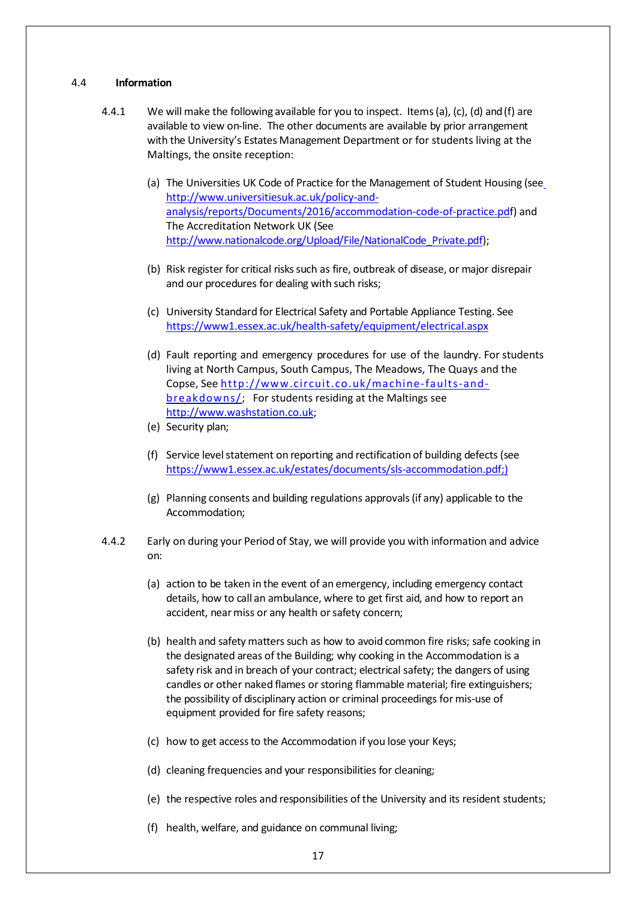### 4.4 **Information**

- 4.4.1 We will make the following available for you to inspect. Items (a), (c), (d) and (f) are available to view on-line. The other documents are available by prior arrangement with the University's Estates Management Department or for students living at the Maltings, the onsite reception:
	- (a) The Universities UK Code of Practice for the Management of Student Housing (se[e](http://www.universitiesuk.ac.uk/policy-and-analysis/reports/Documents/2016/accommodation-code-of-practice.pdf) [http://www.universitiesuk.ac.uk/policy-and](http://www.universitiesuk.ac.uk/policy-and-analysis/reports/Documents/2016/accommodation-code-of-practice.pdf)[analysis/reports/Documents/2016/accommodation-code-of-practice.pdf](http://www.universitiesuk.ac.uk/policy-and-analysis/reports/Documents/2016/accommodation-code-of-practice.pdf)) and The Accreditation Network UK (See http://www.nationalcode.org/Upload/File/NationalCode Private.pdf);
	- (b) Risk register for critical riskssuch as fire, outbreak of disease, or major disrepair and our procedures for dealing with such risks;
	- (c) University Standard for Electrical Safety and Portable Appliance Testing. See <https://www1.essex.ac.uk/health-safety/equipment/electrical.aspx>
	- (d) Fault reporting and emergency procedures for use of the laundry. For students living at North Campus, South Campus, The Meadows, The Quays and the Copse, Se[e http://www.circuit.co.uk/machine-faults-and](http://www.circuit.co.uk/machine-faults-and-breakdowns/)[breakdowns/;](http://www.circuit.co.uk/machine-faults-and-breakdowns/) For students residing at the Maltings see [http://www.washstation.co.uk;](http://www.washstation.co.uk/)
	- (e) Security plan;
	- (f) Service level statement on reporting and rectification of building defects (see [https://www1.essex.ac.uk/estates/documents/sls-accommodation.pdf;\)](https://www1.essex.ac.uk/estates/documents/sls-accommodation.pdf;)
	- (g) Planning consents and building regulations approvals(if any) applicable to the Accommodation;
- 4.4.2 Early on during your Period of Stay, we will provide you with information and advice on:
	- (a) action to be taken in the event of an emergency, including emergency contact details, how to call an ambulance, where to get first aid, and how to report an accident, near miss or any health or safety concern;
	- (b) health and safety matters such as how to avoid common fire risks; safe cooking in the designated areas of the Building; why cooking in the Accommodation is a safety risk and in breach of your contract; electrical safety; the dangers of using candles or other naked flames or storing flammable material; fire extinguishers; the possibility of disciplinary action or criminal proceedings for mis-use of equipment provided for fire safety reasons;
	- (c) how to get accessto the Accommodation if you lose your Keys;
	- (d) cleaning frequencies and your responsibilities for cleaning;
	- (e) the respective roles and responsibilities of the University and its resident students;
	- (f) health, welfare, and guidance on communal living;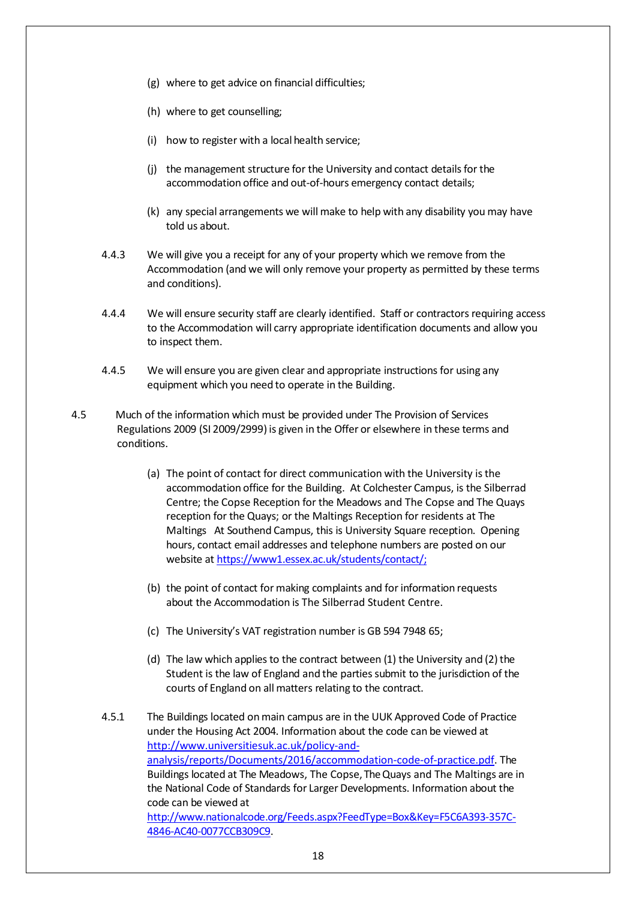- (g) where to get advice on financial difficulties;
- (h) where to get counselling;
- (i) how to register with a local health service;
- (j) the management structure for the University and contact details for the accommodation office and out-of-hours emergency contact details;
- (k) any special arrangements we will make to help with any disability you may have told us about.
- 4.4.3 We will give you a receipt for any of your property which we remove from the Accommodation (and we will only remove your property as permitted by these terms and conditions).
- 4.4.4 We will ensure security staff are clearly identified. Staff or contractors requiring access to the Accommodation will carry appropriate identification documents and allow you to inspect them.
- 4.4.5 We will ensure you are given clear and appropriate instructions for using any equipment which you need to operate in the Building.
- 4.5 Much of the information which must be provided under The Provision of Services Regulations 2009 (SI 2009/2999) is given in the Offer or elsewhere in these terms and conditions.
	- (a) The point of contact for direct communication with the University isthe accommodation office for the Building. At Colchester Campus, is the Silberrad Centre; the Copse Reception for the Meadows and The Copse and The Quays reception for the Quays; or the Maltings Reception for residents at The Maltings At Southend Campus, this is University Square reception. Opening hours, contact email addresses and telephone numbers are posted on our website at [https://www1.essex.ac.uk/students/contact/;](https://www1.essex.ac.uk/students/contact/)
	- (b) the point of contact for making complaints and forinformation requests about the Accommodation is The Silberrad Student Centre.
	- (c) The University's VAT registration number is GB 594 7948 65;
	- (d) The law which applies to the contract between  $(1)$  the University and  $(2)$  the Student is the law of England and the partiessubmit to the jurisdiction of the courts of England on all matters relating to the contract.
	- 4.5.1 The Buildings located on main campus are in the UUK Approved Code of Practice under the Housing Act 2004. Information about the code can be viewed at [http://www.universitiesuk.ac.uk/policy-and](http://www.universitiesuk.ac.uk/policy-and-analysis/reports/Documents/2016/accommodation-code-of-practice.pdf)[analysis/reports/Documents/2016/accommodation-code-of-practice.pdf.](http://www.universitiesuk.ac.uk/policy-and-analysis/reports/Documents/2016/accommodation-code-of-practice.pdf) The Buildings located at The Meadows, The Copse, The Quays and The Maltings are in the National Code of Standards for Larger Developments. Information about the code can be viewed at [http://www.nationalcode.org/Feeds.aspx?FeedType=Box&Key=F5C6A393-357C-](http://www.nationalcode.org/Feeds.aspx?FeedType=Box&amp%3Bamp%3Bamp%3Bamp%3BKey=F5C6A393-357C-4846-AC40-0077CCB309C9)[4846-AC40-0077CCB309C9.](http://www.nationalcode.org/Feeds.aspx?FeedType=Box&amp%3Bamp%3Bamp%3Bamp%3BKey=F5C6A393-357C-4846-AC40-0077CCB309C9)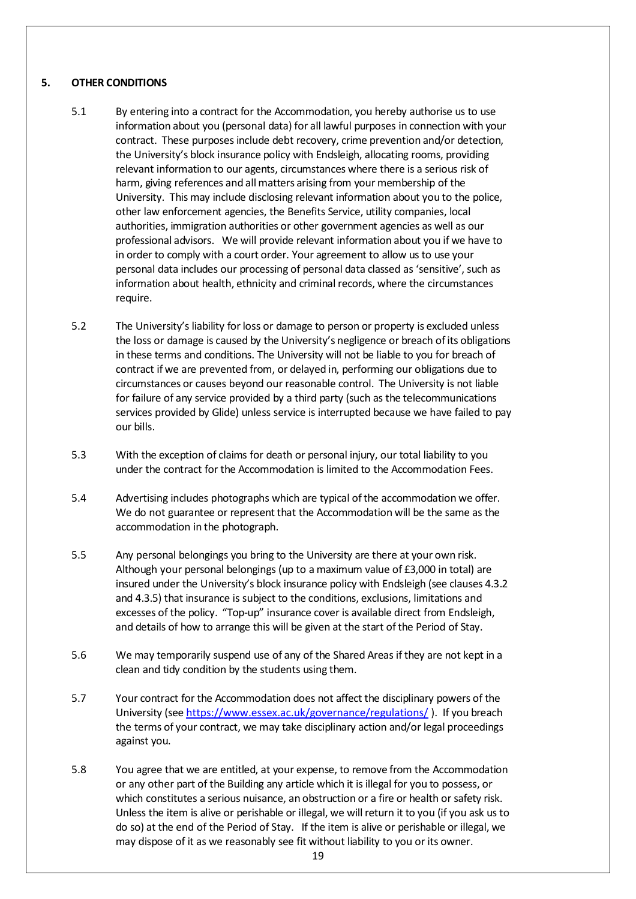# **5. OTHER CONDITIONS**

- <span id="page-18-0"></span>5.1 By entering into a contract for the Accommodation, you hereby authorise us to use information about you (personal data) for all lawful purposes in connection with your contract. These purposes include debt recovery, crime prevention and/or detection, the University's block insurance policy with Endsleigh, allocating rooms, providing relevant information to our agents, circumstances where there is a serious risk of harm, giving references and all matters arising from your membership of the University. This may include disclosing relevant information about you to the police, other law enforcement agencies, the Benefits Service, utility companies, local authorities, immigration authorities or other government agencies as well as our professional advisors. We will provide relevant information about you if we have to in order to comply with a court order. Your agreement to allow us to use your personal data includes our processing of personal data classed as 'sensitive', such as information about health, ethnicity and criminal records, where the circumstances require.
- 5.2 The University's liability forloss or damage to person or property is excluded unless the loss or damage is caused by the University's negligence or breach of its obligations in these terms and conditions. The University will not be liable to you for breach of contract if we are prevented from, or delayed in, performing our obligations due to circumstances or causes beyond our reasonable control. The University is not liable for failure of any service provided by a third party (such as the telecommunications services provided by Glide) unless service is interrupted because we have failed to pay our bills.
- 5.3 With the exception of claims for death or personal injury, our total liability to you under the contract for the Accommodation is limited to the Accommodation Fees.
- 5.4 Advertising includes photographs which are typical ofthe accommodation we offer. We do not guarantee or represent that the Accommodation will be the same as the accommodation in the photograph.
- 5.5 Any personal belongings you bring to the University are there at your own risk. Although your personal belongings (up to a maximum value of £3,000 in total) are insured under the University's block insurance policy with Endsleigh (see clauses [4.3.2](#page-15-0) and [4.3.5\)](#page-15-1) that insurance is subject to the conditions, exclusions, limitations and excesses of the policy. "Top-up" insurance cover is available direct from Endsleigh, and details of how to arrange this will be given at the start of the Period of Stay.
- 5.6 We may temporarily suspend use of any of the Shared Areas if they are not kept in a clean and tidy condition by the students using them.
- 5.7 Your contract for the Accommodation does not affect the disciplinary powers of the University (see <https://www.essex.ac.uk/governance/regulations/> ). If you breach the terms of your contract, we may take disciplinary action and/or legal proceedings against you.
- 5.8 You agree that we are entitled, at your expense, to remove from the Accommodation or any other part of the Building any article which it is illegal for you to possess, or which constitutes a serious nuisance, an obstruction or a fire or health or safety risk. Unless the item is alive or perishable or illegal, we will return it to you (if you ask us to do so) at the end of the Period of Stay. If the item is alive or perishable or illegal, we may dispose of it as we reasonably see fit without liability to you or its owner.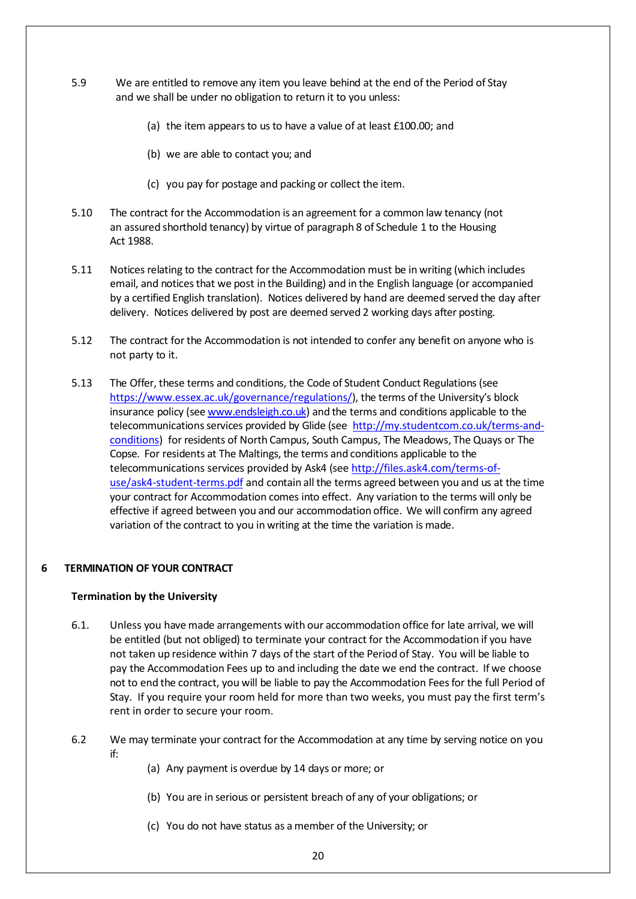- 5.9 We are entitled to remove any item you leave behind at the end of the Period of Stay and we shall be under no obligation to return it to you unless:
	- (a) the item appears to us to have a value of at least £100.00; and
	- (b) we are able to contact you; and
	- (c) you pay for postage and packing or collect the item.
- 5.10 The contract forthe Accommodation is an agreement for a common law tenancy (not an assured shorthold tenancy) by virtue of paragraph 8 of Schedule 1 to the Housing Act 1988.
- 5.11 Notices relating to the contract for the Accommodation must be in writing (which includes email, and noticesthat we post in the Building) and in the English language (or accompanied by a certified English translation). Notices delivered by hand are deemed served the day after delivery. Notices delivered by post are deemed served 2 working days after posting.
- 5.12 The contract forthe Accommodation is not intended to confer any benefit on anyone who is not party to it.
- 5.13 The Offer, these terms and conditions, the Code of Student Conduct Regulations (see [https://www.essex.ac.uk/governance/regulations/\)](https://www.essex.ac.uk/governance/regulations/), the terms of the University's block insurance policy (see [www.endsleigh.co.uk\)](http://www.endsleigh.co.uk/) and the terms and conditions applicable to the telecommunications services provided by Glide (see [http://my.studentcom.co.uk/terms-and](http://www.studentcom.co.uk/studentcom-terms-and-conditions.html)[conditions\)](http://www.studentcom.co.uk/studentcom-terms-and-conditions.html) for residents of North Campus, South Campus, The Meadows, The Quays or The Copse. For residents at The Maltings, the terms and conditions applicable to the telecommunications services provided by Ask4 (see [http://files.ask4.com/terms-of](http://files.ask4.com/terms-of-use/ask4-student-terms.pdf)[use/ask4-student-terms.pdf](http://files.ask4.com/terms-of-use/ask4-student-terms.pdf) and [contain](http://files.ask4.com/terms-of-use/ask4-student-terms.pdf) all the terms agreed between you and us at the time your contract for Accommodation comes into effect. Any variation to the terms will only be effective if agreed between you and our accommodation office. We will confirm any agreed variation of the contract to you in writing at the time the variation is made.

# **6 TERMINATION OF YOUR CONTRACT**

## **Termination by the University**

- <span id="page-19-0"></span>6.1. Unless you have made arrangements with our accommodation office for late arrival, we will be entitled (but not obliged) to terminate your contract for the Accommodation if you have not taken up residence within 7 days of the start of the Period of Stay. You will be liable to pay the Accommodation Fees up to and including the date we end the contract. If we choose not to end the contract, you will be liable to pay the Accommodation Feesfor the full Period of Stay. If you require your room held for more than two weeks, you must pay the first term's rent in order to secure your room.
- 6.2 We may terminate your contract for the Accommodation at any time by serving notice on you if:
	- (a) Any payment is overdue by 14 days or more; or
	- (b) You are in serious or persistent breach of any of your obligations; or
	- (c) You do not have status as amember of the University; or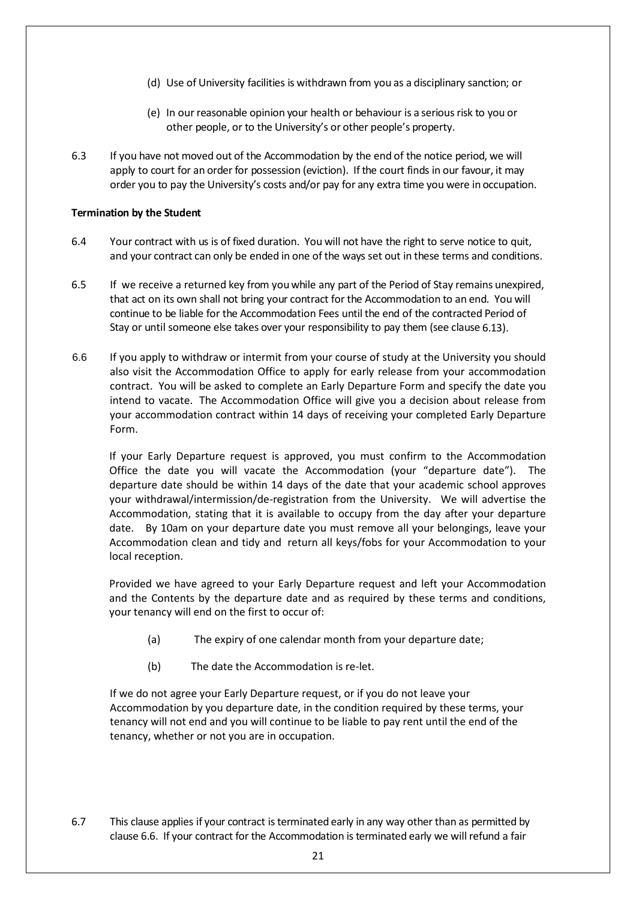- (d) Use of University facilities is withdrawn from you as a disciplinary sanction; or
- (e) In ourreasonable opinion your health or behaviour is a seriousrisk to you or other people, or to the University's or other people's property.
- 6.3 If you have not moved out of the Accommodation by the end of the notice period, we will apply to court for an order for possession (eviction). If the court finds in our favour, it may order you to pay the University's costs and/or pay for any extra time you were in occupation.

## **Termination by the Student**

- 6.4 Your contract with us is of fixed duration. You will not have the right to serve notice to quit, and your contract can only be ended in one of the ways set out in these terms and conditions.
- 6.5 If we receive a returned key from youwhile any part of the Period of Stay remains unexpired, that act on its own shall not bring your contract for the Accommodation to an end. You will continue to be liable for the Accommodation Fees until the end of the contracted Period of Stay or until someone else takes over your responsibility to pay them (see clause [6.13\)](#page-22-1).
- <span id="page-20-0"></span>6.6 If you apply to withdraw or intermit from your course of study at the University you should also visit the Accommodation Office to apply for early release from your accommodation contract. You will be asked to complete an Early Departure Form and specify the date you intend to vacate. The Accommodation Office will give you a decision about release from your accommodation contract within 14 days of receiving your completed Early Departure Form.

If your Early Departure request is approved, you must confirm to the Accommodation Office the date you will vacate the Accommodation (your "departure date"). The departure date should be within 14 days of the date that your academic school approves your withdrawal/intermission/de-registration from the University. We will advertise the Accommodation, stating that it is available to occupy from the day after your departure date. By 10am on your departure date you must remove all your belongings, leave your Accommodation clean and tidy and return all keys/fobs for your Accommodation to your local reception.

Provided we have agreed to your Early Departure request and left your Accommodation and the Contents by the departure date and as required by these terms and conditions, your tenancy will end on the first to occur of:

- (a) The expiry of one calendar month from your departure date;
- (b) The date the Accommodation is re-let.

If we do not agree your Early Departure request, or if you do not leave your Accommodation by you departure date, in the condition required by these terms, your tenancy will not end and you will continue to be liable to pay rent until the end of the tenancy, whether or not you are in occupation.

6.7 This clause applies if your contract is terminated early in any way other than as permitted by clause [6.6.](#page-20-0) If [your](#page-19-0) contract for the Accommodation is terminated early we will refund a fair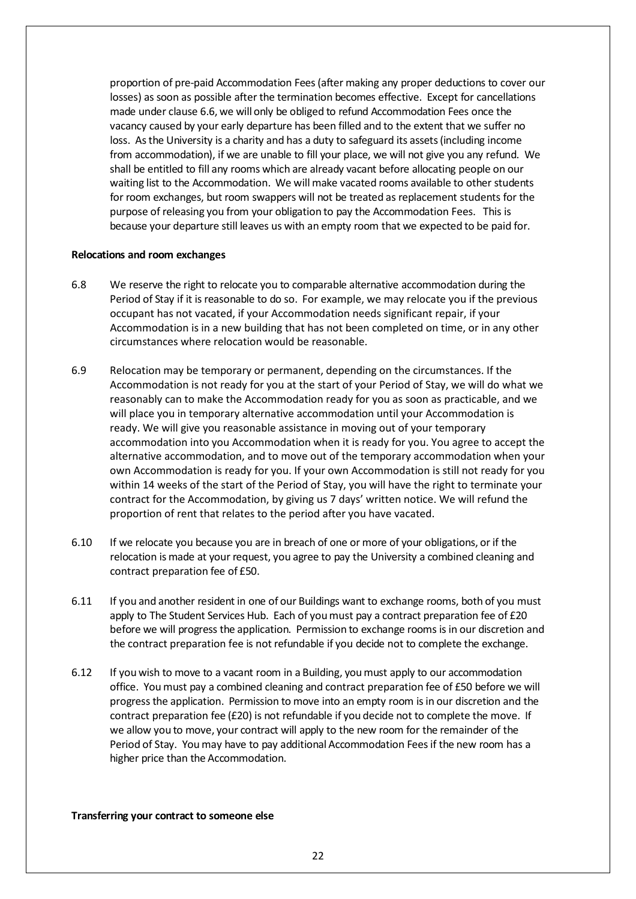proportion of pre-paid Accommodation Fees(after making any proper deductions to cover our losses) as soon as possible after the termination becomes effective. Except for cancellations made under clause [6.6,](#page-20-0) we [will](#page-19-0) only be obliged to refund Accommodation Fees once the vacancy caused by your early departure has been filled and to the extent that we suffer no loss. Asthe University is a charity and has a duty to safeguard its assets(including income from accommodation), if we are unable to fill your place, we will not give you any refund. We shall be entitled to fill any rooms which are already vacant before allocating people on our waiting list to the Accommodation. We will make vacated rooms available to other students for room exchanges, but room swappers will not be treated as replacement students for the purpose of releasing you from your obligation to pay the Accommodation Fees. This is because your departure still leaves us with an empty room that we expected to be paid for.

### **Relocations and room exchanges**

- 6.8 We reserve the right to relocate you to comparable alternative accommodation during the Period of Stay if it is reasonable to do so. For example, we may relocate you if the previous occupant has not vacated, if your Accommodation needs significant repair, if your Accommodation is in a new building that has not been completed on time, or in any other circumstances where relocation would be reasonable.
- 6.9 Relocation may be temporary or permanent, depending on the circumstances. If the Accommodation is not ready for you at the start of your Period of Stay, we will do what we reasonably can to make the Accommodation ready for you as soon as practicable, and we will place you in temporary alternative accommodation until your Accommodation is ready. We will give you reasonable assistance in moving out of your temporary accommodation into you Accommodation when it is ready for you. You agree to accept the alternative accommodation, and to move out of the temporary accommodation when your own Accommodation is ready for you. If your own Accommodation is still not ready for you within 14 weeks of the start of the Period of Stay, you will have the right to terminate your contract for the Accommodation, by giving us 7 days' written notice. We will refund the proportion of rent that relates to the period after you have vacated.
- 6.10 If we relocate you because you are in breach of one or more of your obligations, or if the relocation is made at your request, you agree to pay the University a combined cleaning and contract preparation fee of £50.
- <span id="page-21-0"></span>6.11 If you and another resident in one of our Buildings want to exchange rooms, both of you must apply to The Student Services Hub. Each of you must pay a contract preparation fee of £20 before we will progress the application. Permission to exchange rooms is in our discretion and the contract preparation fee is not refundable if you decide not to complete the exchange.
- 6.12 If you wish to move to a vacant room in a Building, youmust apply to our accommodation office. You must pay a combined cleaning and contract preparation fee of £50 before we will progress the application. Permission to move into an empty room isin our discretion and the contract preparation fee (£20) is not refundable if you decide not to complete the move. If we allow you to move, your contract will apply to the new room for the remainder of the Period of Stay. You may have to pay additional Accommodation Feesif the new room has a higher price than the Accommodation.

#### **Transferring your contract to someone else**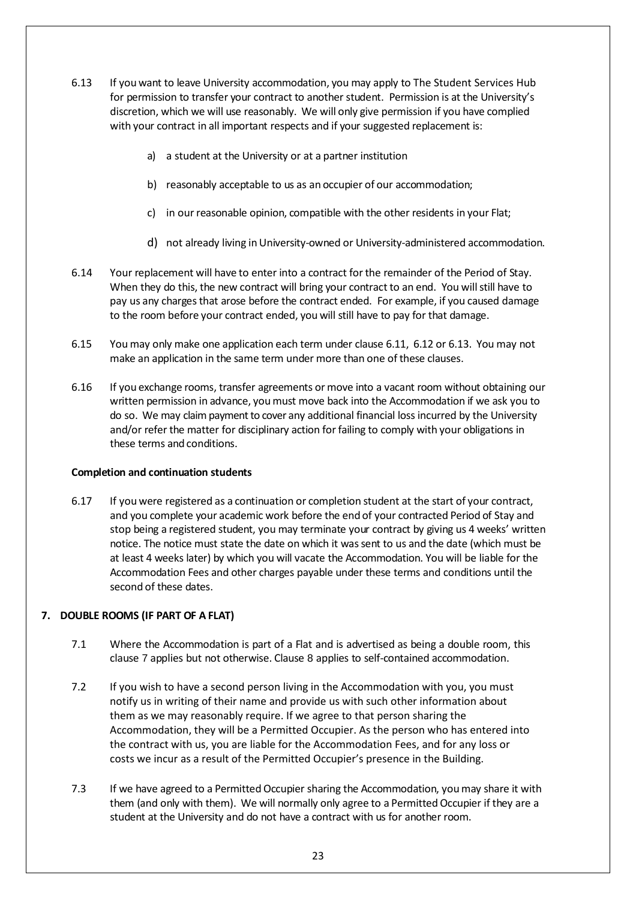- <span id="page-22-1"></span>6.13 If you want to leave University accommodation, you may apply to The Student Services Hub for permission to transfer your contract to another student. Permission is at the University's discretion, which we will use reasonably. We will only give permission if you have complied with your contract in all important respects and if your suggested replacement is:
	- a) a student at the University or at a partner institution
	- b) reasonably acceptable to us as an occupier of our accommodation;
	- c) in our reasonable opinion, compatible with the other residents in your Flat;
	- d) not already living in University-owned or University-administered accommodation.
- <span id="page-22-4"></span><span id="page-22-3"></span>6.14 Your replacement will have to enter into a contract forthe remainder of the Period of Stay. When they do this, the new contract will bring your contract to an end. You will still have to pay us any charges that arose before the contract ended. For example, if you caused damage to the room before your contract ended, you will still have to pay for that damage.
- <span id="page-22-2"></span>6.15 You may only make one application each term under clause [6.11,](#page-21-0) 6.12 [or 6.13.](#page-22-1) You may not make an application in the same term under more than one of these clauses.
- 6.16 If you exchange rooms, transfer agreements or move into a vacant room without obtaining our written permission in advance, youmust move back into the Accommodation if we ask you to do so. We may claim payment to cover any additional financial loss incurred by the University and/or refer the matter for disciplinary action for failing to comply with your obligations in these terms and conditions.

## **Completion and continuation students**

6.17 If you were registered as a continuation or completion student at the start of your contract, and you complete your academic work before the end of your contracted Period of Stay and stop being a registered student, you may terminate your contract by giving us 4 weeks' written notice. The notice must state the date on which it wassent to us and the date (which must be at least 4 weeks later) by which you will vacate the Accommodation. You will be liable for the Accommodation Fees and other charges payable under these terms and conditions until the second of these dates.

## <span id="page-22-0"></span>**7. DOUBLE ROOMS (IF PART OF A FLAT)**

- 7.1 Where the Accommodation is part of a Flat and is advertised as being a double room, this clause [7](#page-22-0) applies but not otherwise. Clause [8](#page-23-0) applies to self-contained accommodation.
- 7.2 If you wish to have a second person living in the Accommodation with you, you must notify us in writing of their name and provide us with such other information about them as we may reasonably require. If we agree to that person sharing the Accommodation, they will be a Permitted Occupier. As the person who has entered into the contract with us, you are liable for the Accommodation Fees, and for any loss or costs we incur as a result of the Permitted Occupier's presence in the Building.
- 7.3 If we have agreed to a Permitted Occupier sharing the Accommodation, youmay share it with them (and only with them). We will normally only agree to a Permitted Occupier if they are a student at the University and do not have a contract with us for another room.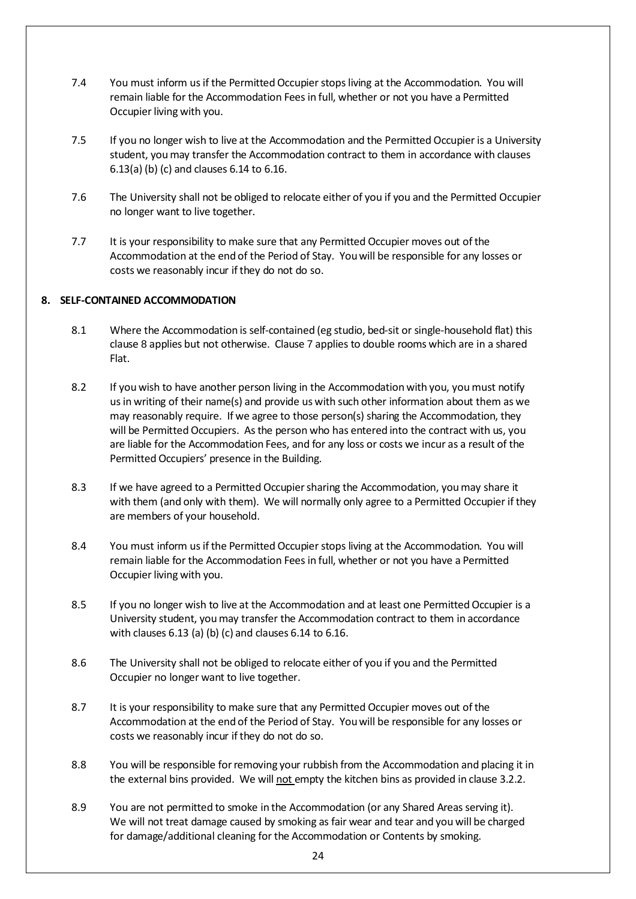- 7.4 You must inform us if the Permitted Occupier stops living at the Accommodation. You will remain liable for the Accommodation Fees in full, whether or not you have a Permitted Occupier living with you.
- 7.5 If you no longer wish to live at the Accommodation and the Permitted Occupier is a University student, youmay transfer the Accommodation contract to them in accordance [with](#page-22-1) [clauses](#page-22-1) 6.13(a) (b) (c) [and](#page-22-3) [clauses](#page-22-2) 6.14 to 6.16.
- 7.6 The University shall not be obliged to relocate either of you if you and the Permitted Occupier no longer want to live together.
- 7.7 It is your responsibility to make sure that any Permitted Occupier moves out of the Accommodation at the end of the Period of Stay. Youwill be responsible for any losses or costs we reasonably incur if they do not do so.

# <span id="page-23-0"></span>**8. SELF-CONTAINED ACCOMMODATION**

- 8.1 Where the Accommodation is self-contained (eg studio, bed-sit or single-household flat) this clause [8](#page-23-0) applies but not otherwise. Clause [7](#page-22-0) applies to double rooms which are in a shared Flat.
- 8.2 If you wish to have another person living in the Accommodation with you, you must notify us in writing of their name(s) and provide us with such other information about them as we may reasonably require. If we agree to those person(s) sharing the Accommodation, they will be Permitted Occupiers. As the person who has entered into the contract with us, you are liable for the Accommodation Fees, and for any loss or costs we incur as a result of the Permitted Occupiers' presence in the Building.
- 8.3 If we have agreed to a Permitted Occupiersharing the Accommodation, youmay share it with them (and only with them). We will normally only agree to a Permitted Occupier if they are members of your household.
- 8.4 You must inform us if the Permitted Occupier stops living at the Accommodation. You will remain liable for the Accommodation Fees in full, whether or not you have a Permitted Occupier living with you.
- 8.5 If you no longer wish to live at the Accommodation and at least one Permitted Occupier is a University student, youmay transfer the Accommodation contract to them in accordance with clauses [6.13](#page-22-1) [\(a\)](#page-22-1) [\(b\)](#page-22-4) [\(c\)](#page-22-4) and clauses [6.14](#page-22-3) to [6.16.](#page-22-2)
- 8.6 The University shall not be obliged to relocate either of you if you and the Permitted Occupier no longer want to live together.
- 8.7 It is your responsibility to make sure that any Permitted Occupier moves out of the Accommodation at the end of the Period of Stay. Youwill be responsible for any losses or costs we reasonably incur if they do not do so.
- 8.8 You will be responsible for removing your rubbish from the Accommodation and placing it in the external bins provided. We will not empty the kitchen bins as provided in clause [3.2.2.](#page-7-0)
- 8.9 You are not permitted to smoke in the Accommodation (or any Shared Areas serving it). We will not treat damage caused by smoking as fair wear and tear and you will be charged for damage/additional cleaning for the Accommodation or Contents by smoking.